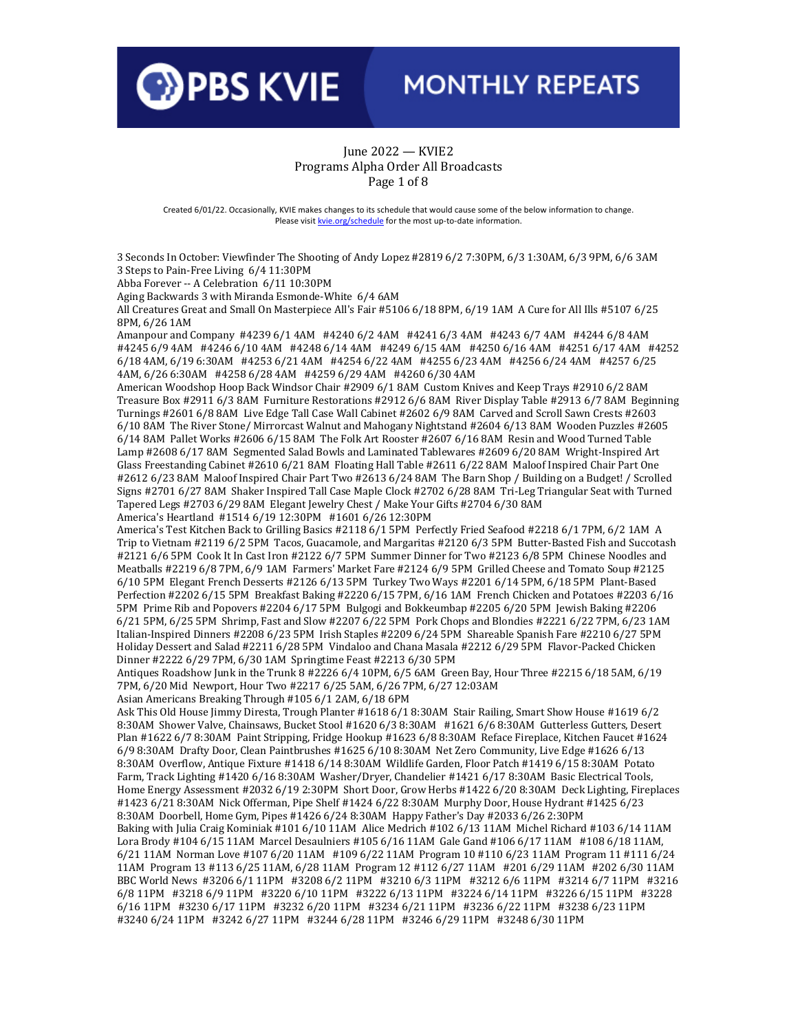

#### June 2022 — KVIE2 Programs Alpha Order All Broadcasts Page 1 of 8

Created 6/01/22. Occasionally, KVIE makes changes to its schedule that would cause some of the below information to change. Please visi[t kvie.org/schedule](http://www.kvie.org/schedule) for the most up-to-date information.

3 Seconds In October: Viewfinder The Shooting of Andy Lopez #2819 6/2 7:30PM, 6/3 1:30AM, 6/3 9PM, 6/6 3AM 3 Steps to Pain-Free Living 6/4 11:30PM

Abba Forever -- A Celebration 6/11 10:30PM

Aging Backwards 3 with Miranda Esmonde-White 6/4 6AM

All Creatures Great and Small On Masterpiece All's Fair #5106 6/18 8PM, 6/19 1AM A Cure for All Ills #5107 6/25 8PM, 6/26 1AM

Amanpour and Company #4239 6/1 4AM #4240 6/2 4AM #4241 6/3 4AM #4243 6/7 4AM #4244 6/8 4AM #4245 6/9 4AM #4246 6/10 4AM #4248 6/14 4AM #4249 6/15 4AM #4250 6/16 4AM #4251 6/17 4AM #4252 6/18 4AM, 6/19 6:30AM #4253 6/21 4AM #4254 6/22 4AM #4255 6/23 4AM #4256 6/24 4AM #4257 6/25 4AM, 6/26 6:30AM #4258 6/28 4AM #4259 6/29 4AM #4260 6/30 4AM

American Woodshop Hoop Back Windsor Chair #2909 6/1 8AM Custom Knives and Keep Trays #2910 6/2 8AM Treasure Box #2911 6/3 8AM Furniture Restorations #2912 6/6 8AM River Display Table #2913 6/7 8AM Beginning Turnings #2601 6/8 8AM Live Edge Tall Case Wall Cabinet #2602 6/9 8AM Carved and Scroll Sawn Crests #2603 6/10 8AM The River Stone/ Mirrorcast Walnut and Mahogany Nightstand #2604 6/13 8AM Wooden Puzzles #2605 6/14 8AM Pallet Works #2606 6/15 8AM The Folk Art Rooster #2607 6/16 8AM Resin and Wood Turned Table Lamp #2608 6/17 8AM Segmented Salad Bowls and Laminated Tablewares #2609 6/20 8AM Wright-Inspired Art Glass Freestanding Cabinet #2610 6/21 8AM Floating Hall Table #2611 6/22 8AM Maloof Inspired Chair Part One #2612 6/23 8AM Maloof Inspired Chair Part Two #2613 6/24 8AM The Barn Shop / Building on a Budget! / Scrolled Signs #2701 6/27 8AM Shaker Inspired Tall Case Maple Clock #2702 6/28 8AM Tri-Leg Triangular Seat with Turned Tapered Legs #2703 6/29 8AM Elegant Jewelry Chest / Make Your Gifts #2704 6/30 8AM

America's Heartland #1514 6/19 12:30PM #1601 6/26 12:30PM

America's Test Kitchen Back to Grilling Basics #2118 6/1 5PM Perfectly Fried Seafood #2218 6/1 7PM, 6/2 1AM A Trip to Vietnam #2119 6/2 5PM Tacos, Guacamole, and Margaritas #2120 6/3 5PM Butter-Basted Fish and Succotash #2121 6/6 5PM Cook It In Cast Iron #2122 6/7 5PM Summer Dinner for Two #2123 6/8 5PM Chinese Noodles and Meatballs #2219 6/8 7PM, 6/9 1AM Farmers' Market Fare #2124 6/9 5PM Grilled Cheese and Tomato Soup #2125 6/10 5PM Elegant French Desserts #2126 6/13 5PM Turkey Two Ways #2201 6/14 5PM, 6/18 5PM Plant-Based Perfection #2202 6/15 5PM Breakfast Baking #2220 6/15 7PM, 6/16 1AM French Chicken and Potatoes #2203 6/16 5PM Prime Rib and Popovers #2204 6/17 5PM Bulgogi and Bokkeumbap #2205 6/20 5PM Jewish Baking #2206 6/21 5PM, 6/25 5PM Shrimp, Fast and Slow #2207 6/22 5PM Pork Chops and Blondies #2221 6/22 7PM, 6/23 1AM Italian-Inspired Dinners #2208 6/23 5PM Irish Staples #2209 6/24 5PM Shareable Spanish Fare #2210 6/27 5PM Holiday Dessert and Salad #2211 6/28 5PM Vindaloo and Chana Masala #2212 6/29 5PM Flavor-Packed Chicken Dinner #2222 6/29 7PM, 6/30 1AM Springtime Feast #2213 6/30 5PM

Antiques Roadshow Junk in the Trunk 8 #2226 6/4 10PM, 6/5 6AM Green Bay, Hour Three #2215 6/18 5AM, 6/19 7PM, 6/20 Mid Newport, Hour Two #2217 6/25 5AM, 6/26 7PM, 6/27 12:03AM

Asian Americans Breaking Through #105 6/1 2AM, 6/18 6PM

Ask This Old House Jimmy Diresta, Trough Planter #1618 6/1 8:30AM Stair Railing, Smart Show House #1619 6/2 8:30AM Shower Valve, Chainsaws, Bucket Stool #1620 6/3 8:30AM #1621 6/6 8:30AM Gutterless Gutters, Desert Plan #1622 6/7 8:30AM Paint Stripping, Fridge Hookup #1623 6/8 8:30AM Reface Fireplace, Kitchen Faucet #1624 6/9 8:30AM Drafty Door, Clean Paintbrushes #1625 6/10 8:30AM Net Zero Community, Live Edge #1626 6/13 8:30AM Overflow, Antique Fixture #1418 6/14 8:30AM Wildlife Garden, Floor Patch #1419 6/15 8:30AM Potato Farm, Track Lighting #1420 6/16 8:30AM Washer/Dryer, Chandelier #1421 6/17 8:30AM Basic Electrical Tools, Home Energy Assessment #2032 6/19 2:30PM Short Door, Grow Herbs #1422 6/20 8:30AM Deck Lighting, Fireplaces #1423 6/21 8:30AM Nick Offerman, Pipe Shelf #1424 6/22 8:30AM Murphy Door, House Hydrant #1425 6/23 8:30AM Doorbell, Home Gym, Pipes #1426 6/24 8:30AM Happy Father's Day #2033 6/26 2:30PM Baking with Julia Craig Kominiak #101 6/10 11AM Alice Medrich #102 6/13 11AM Michel Richard #103 6/14 11AM Lora Brody #104 6/15 11AM Marcel Desaulniers #105 6/16 11AM Gale Gand #106 6/17 11AM #108 6/18 11AM, 6/21 11AM Norman Love #107 6/20 11AM #109 6/22 11AM Program 10 #110 6/23 11AM Program 11 #111 6/24 11AM Program 13 #113 6/25 11AM, 6/28 11AM Program 12 #112 6/27 11AM #201 6/29 11AM #202 6/30 11AM BBC World News #3206 6/1 11PM #3208 6/2 11PM #3210 6/3 11PM #3212 6/6 11PM #3214 6/7 11PM #3216 6/8 11PM #3218 6/9 11PM #3220 6/10 11PM #3222 6/13 11PM #3224 6/14 11PM #3226 6/15 11PM #3228 6/16 11PM #3230 6/17 11PM #3232 6/20 11PM #3234 6/21 11PM #3236 6/22 11PM #3238 6/23 11PM #3240 6/24 11PM #3242 6/27 11PM #3244 6/28 11PM #3246 6/29 11PM #3248 6/30 11PM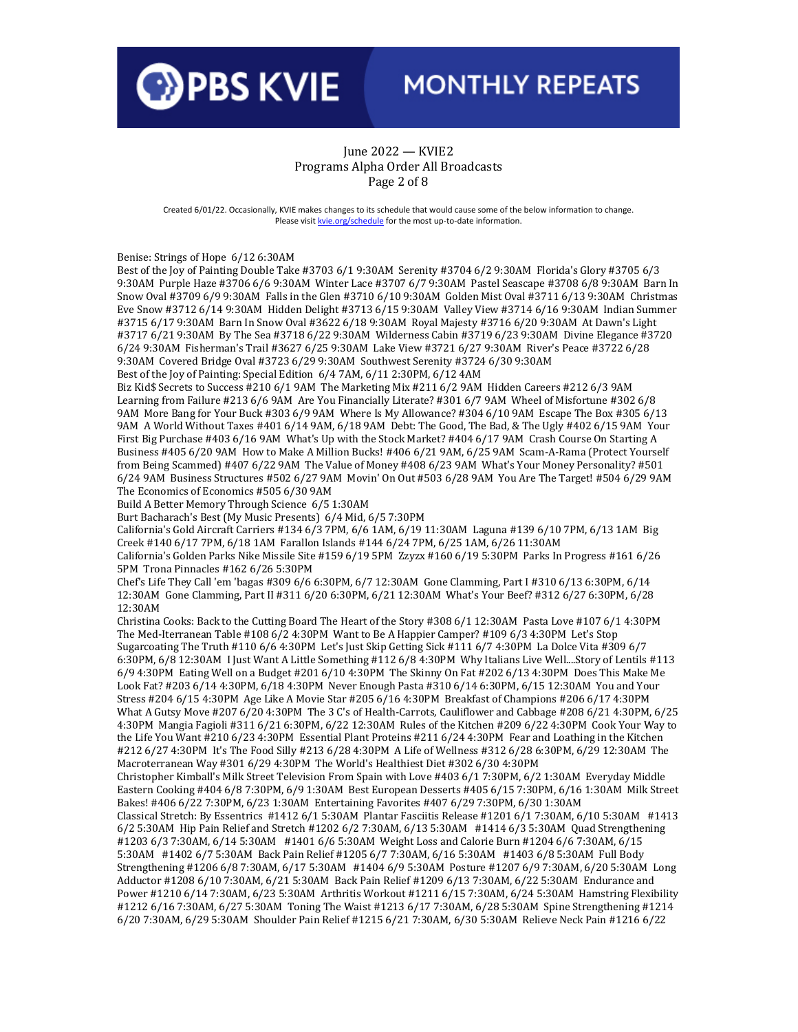

#### June 2022 — KVIE2 Programs Alpha Order All Broadcasts Page 2 of 8

Created 6/01/22. Occasionally, KVIE makes changes to its schedule that would cause some of the below information to change. Please visi[t kvie.org/schedule](http://www.kvie.org/schedule) for the most up-to-date information.

Benise: Strings of Hope 6/12 6:30AM

Best of the Joy of Painting Double Take #3703 6/1 9:30AM Serenity #3704 6/2 9:30AM Florida's Glory #3705 6/3 9:30AM Purple Haze #3706 6/6 9:30AM Winter Lace #3707 6/7 9:30AM Pastel Seascape #3708 6/8 9:30AM Barn In Snow Oval #3709 6/9 9:30AM Falls in the Glen #3710 6/10 9:30AM Golden Mist Oval #3711 6/13 9:30AM Christmas Eve Snow #3712 6/14 9:30AM Hidden Delight #3713 6/15 9:30AM Valley View #3714 6/16 9:30AM Indian Summer #3715 6/17 9:30AM Barn In Snow Oval #3622 6/18 9:30AM Royal Majesty #3716 6/20 9:30AM At Dawn's Light #3717 6/21 9:30AM By The Sea #3718 6/22 9:30AM Wilderness Cabin #3719 6/23 9:30AM Divine Elegance #3720 6/24 9:30AM Fisherman's Trail #3627 6/25 9:30AM Lake View #3721 6/27 9:30AM River's Peace #3722 6/28 9:30AM Covered Bridge Oval #3723 6/29 9:30AM Southwest Serenity #3724 6/30 9:30AM

Best of the Joy of Painting: Special Edition 6/4 7AM, 6/11 2:30PM, 6/12 4AM

Biz Kid\$ Secrets to Success #210 6/1 9AM The Marketing Mix #211 6/2 9AM Hidden Careers #212 6/3 9AM Learning from Failure #213 6/6 9AM Are You Financially Literate? #301 6/7 9AM Wheel of Misfortune #302 6/8 9AM More Bang for Your Buck #303 6/9 9AM Where Is My Allowance? #304 6/10 9AM Escape The Box #305 6/13 9AM A World Without Taxes #401 6/14 9AM, 6/18 9AM Debt: The Good, The Bad, & The Ugly #402 6/15 9AM Your First Big Purchase #403 6/16 9AM What's Up with the Stock Market? #404 6/17 9AM Crash Course On Starting A Business #405 6/20 9AM How to Make A Million Bucks! #406 6/21 9AM, 6/25 9AM Scam-A-Rama (Protect Yourself from Being Scammed) #407 6/22 9AM The Value of Money #408 6/23 9AM What's Your Money Personality? #501 6/24 9AM Business Structures #502 6/27 9AM Movin' On Out #503 6/28 9AM You Are The Target! #504 6/29 9AM The Economics of Economics #505 6/30 9AM

Build A Better Memory Through Science 6/5 1:30AM

Burt Bacharach's Best (My Music Presents) 6/4 Mid, 6/5 7:30PM

California's Gold Aircraft Carriers #134 6/3 7PM, 6/6 1AM, 6/19 11:30AM Laguna #139 6/10 7PM, 6/13 1AM Big Creek #140 6/17 7PM, 6/18 1AM Farallon Islands #144 6/24 7PM, 6/25 1AM, 6/26 11:30AM

California's Golden Parks Nike Missile Site #159 6/19 5PM Zzyzx #160 6/19 5:30PM Parks In Progress #161 6/26 5PM Trona Pinnacles #162 6/26 5:30PM

Chef's Life They Call 'em 'bagas #309 6/6 6:30PM, 6/7 12:30AM Gone Clamming, Part I #310 6/13 6:30PM, 6/14 12:30AM Gone Clamming, Part II #311 6/20 6:30PM, 6/21 12:30AM What's Your Beef? #312 6/27 6:30PM, 6/28 12:30AM

Christina Cooks: Back to the Cutting Board The Heart of the Story #308 6/1 12:30AM Pasta Love #107 6/1 4:30PM The Med-Iterranean Table #108 6/2 4:30PM Want to Be A Happier Camper? #109 6/3 4:30PM Let's Stop Sugarcoating The Truth #110 6/6 4:30PM Let's Just Skip Getting Sick #111 6/7 4:30PM La Dolce Vita #309 6/7 6:30PM, 6/8 12:30AM I Just Want A Little Something #112 6/8 4:30PM Why Italians Live Well....Story of Lentils #113 6/9 4:30PM Eating Well on a Budget #201 6/10 4:30PM The Skinny On Fat #202 6/13 4:30PM Does This Make Me Look Fat? #203 6/14 4:30PM, 6/18 4:30PM Never Enough Pasta #310 6/14 6:30PM, 6/15 12:30AM You and Your Stress #204 6/15 4:30PM Age Like A Movie Star #205 6/16 4:30PM Breakfast of Champions #206 6/17 4:30PM What A Gutsy Move #207 6/20 4:30PM The 3 C's of Health-Carrots, Cauliflower and Cabbage #208 6/21 4:30PM, 6/25 4:30PM Mangia Fagioli #311 6/21 6:30PM, 6/22 12:30AM Rules of the Kitchen #209 6/22 4:30PM Cook Your Way to the Life You Want #210 6/23 4:30PM Essential Plant Proteins #211 6/24 4:30PM Fear and Loathing in the Kitchen #212 6/27 4:30PM It's The Food Silly #213 6/28 4:30PM A Life of Wellness #312 6/28 6:30PM, 6/29 12:30AM The Macroterranean Way #301 6/29 4:30PM The World's Healthiest Diet #302 6/30 4:30PM

Christopher Kimball's Milk Street Television From Spain with Love #403 6/1 7:30PM, 6/2 1:30AM Everyday Middle Eastern Cooking #404 6/8 7:30PM, 6/9 1:30AM Best European Desserts #405 6/15 7:30PM, 6/16 1:30AM Milk Street Bakes! #406 6/22 7:30PM, 6/23 1:30AM Entertaining Favorites #407 6/29 7:30PM, 6/30 1:30AM

Classical Stretch: By Essentrics #1412 6/1 5:30AM Plantar Fasciitis Release #1201 6/1 7:30AM, 6/10 5:30AM #1413 6/2 5:30AM Hip Pain Relief and Stretch #1202 6/2 7:30AM, 6/13 5:30AM #1414 6/3 5:30AM Quad Strengthening #1203 6/3 7:30AM, 6/14 5:30AM #1401 6/6 5:30AM Weight Loss and Calorie Burn #1204 6/6 7:30AM, 6/15 5:30AM #1402 6/7 5:30AM Back Pain Relief #1205 6/7 7:30AM, 6/16 5:30AM #1403 6/8 5:30AM Full Body Strengthening #1206 6/8 7:30AM, 6/17 5:30AM #1404 6/9 5:30AM Posture #1207 6/9 7:30AM, 6/20 5:30AM Long Adductor #1208 6/10 7:30AM, 6/21 5:30AM Back Pain Relief #1209 6/13 7:30AM, 6/22 5:30AM Endurance and Power #1210 6/14 7:30AM, 6/23 5:30AM Arthritis Workout #1211 6/15 7:30AM, 6/24 5:30AM Hamstring Flexibility #1212 6/16 7:30AM, 6/27 5:30AM Toning The Waist #1213 6/17 7:30AM, 6/28 5:30AM Spine Strengthening #1214 6/20 7:30AM, 6/29 5:30AM Shoulder Pain Relief #1215 6/21 7:30AM, 6/30 5:30AM Relieve Neck Pain #1216 6/22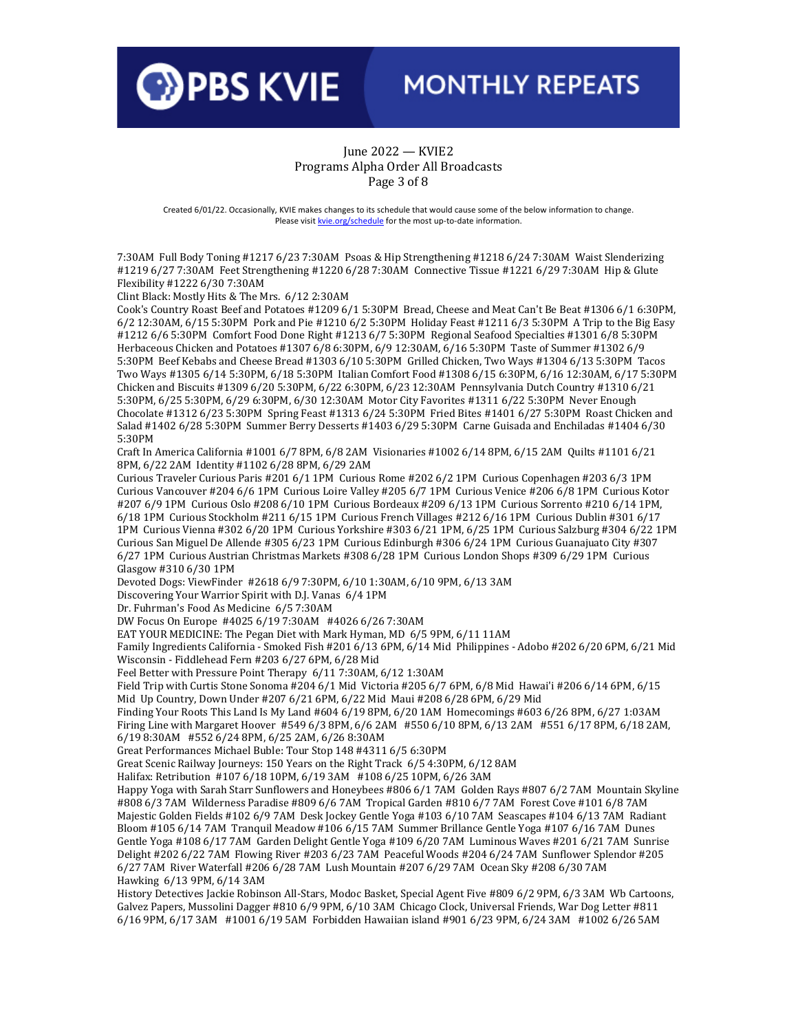

#### June 2022 — KVIE2 Programs Alpha Order All Broadcasts Page 3 of 8

Created 6/01/22. Occasionally, KVIE makes changes to its schedule that would cause some of the below information to change. Please visi[t kvie.org/schedule](http://www.kvie.org/schedule) for the most up-to-date information.

7:30AM Full Body Toning #1217 6/23 7:30AM Psoas & Hip Strengthening #1218 6/24 7:30AM Waist Slenderizing #1219 6/27 7:30AM Feet Strengthening #1220 6/28 7:30AM Connective Tissue #1221 6/29 7:30AM Hip & Glute Flexibility #1222 6/30 7:30AM

Clint Black: Mostly Hits & The Mrs. 6/12 2:30AM

Cook's Country Roast Beef and Potatoes #1209 6/1 5:30PM Bread, Cheese and Meat Can't Be Beat #1306 6/1 6:30PM, 6/2 12:30AM, 6/15 5:30PM Pork and Pie #1210 6/2 5:30PM Holiday Feast #1211 6/3 5:30PM A Trip to the Big Easy #1212 6/6 5:30PM Comfort Food Done Right #1213 6/7 5:30PM Regional Seafood Specialties #1301 6/8 5:30PM Herbaceous Chicken and Potatoes #1307 6/8 6:30PM, 6/9 12:30AM, 6/16 5:30PM Taste of Summer #1302 6/9 5:30PM Beef Kebabs and Cheese Bread #1303 6/10 5:30PM Grilled Chicken, Two Ways #1304 6/13 5:30PM Tacos Two Ways #1305 6/14 5:30PM, 6/18 5:30PM Italian Comfort Food #1308 6/15 6:30PM, 6/16 12:30AM, 6/17 5:30PM Chicken and Biscuits #1309 6/20 5:30PM, 6/22 6:30PM, 6/23 12:30AM Pennsylvania Dutch Country #1310 6/21 5:30PM, 6/25 5:30PM, 6/29 6:30PM, 6/30 12:30AM Motor City Favorites #1311 6/22 5:30PM Never Enough Chocolate #1312 6/23 5:30PM Spring Feast #1313 6/24 5:30PM Fried Bites #1401 6/27 5:30PM Roast Chicken and Salad #1402 6/28 5:30PM Summer Berry Desserts #1403 6/29 5:30PM Carne Guisada and Enchiladas #1404 6/30 5:30PM

Craft In America California #1001 6/7 8PM, 6/8 2AM Visionaries #1002 6/14 8PM, 6/15 2AM Quilts #1101 6/21 8PM, 6/22 2AM Identity #1102 6/28 8PM, 6/29 2AM

Curious Traveler Curious Paris #201 6/1 1PM Curious Rome #202 6/2 1PM Curious Copenhagen #203 6/3 1PM Curious Vancouver #204 6/6 1PM Curious Loire Valley #205 6/7 1PM Curious Venice #206 6/8 1PM Curious Kotor #207 6/9 1PM Curious Oslo #208 6/10 1PM Curious Bordeaux #209 6/13 1PM Curious Sorrento #210 6/14 1PM, 6/18 1PM Curious Stockholm #211 6/15 1PM Curious French Villages #212 6/16 1PM Curious Dublin #301 6/17 1PM Curious Vienna #302 6/20 1PM Curious Yorkshire #303 6/21 1PM, 6/25 1PM Curious Salzburg #304 6/22 1PM Curious San Miguel De Allende #305 6/23 1PM Curious Edinburgh #306 6/24 1PM Curious Guanajuato City #307 6/27 1PM Curious Austrian Christmas Markets #308 6/28 1PM Curious London Shops #309 6/29 1PM Curious Glasgow #310 6/30 1PM

Devoted Dogs: ViewFinder #2618 6/9 7:30PM, 6/10 1:30AM, 6/10 9PM, 6/13 3AM

Discovering Your Warrior Spirit with D.J. Vanas 6/4 1PM

Dr. Fuhrman's Food As Medicine 6/5 7:30AM

DW Focus On Europe #4025 6/19 7:30AM #4026 6/26 7:30AM

EAT YOUR MEDICINE: The Pegan Diet with Mark Hyman, MD 6/5 9PM, 6/11 11AM

Family Ingredients California - Smoked Fish #201 6/13 6PM, 6/14 Mid Philippines - Adobo #202 6/20 6PM, 6/21 Mid Wisconsin - Fiddlehead Fern #203 6/27 6PM, 6/28 Mid

Feel Better with Pressure Point Therapy 6/11 7:30AM, 6/12 1:30AM

Field Trip with Curtis Stone Sonoma #204 6/1 Mid Victoria #205 6/7 6PM, 6/8 Mid Hawai'i #206 6/14 6PM, 6/15 Mid Up Country, Down Under #207 6/21 6PM, 6/22 Mid Maui #208 6/28 6PM, 6/29 Mid

Finding Your Roots This Land Is My Land #604 6/19 8PM, 6/20 1AM Homecomings #603 6/26 8PM, 6/27 1:03AM Firing Line with Margaret Hoover #549 6/3 8PM, 6/6 2AM #550 6/10 8PM, 6/13 2AM #551 6/17 8PM, 6/18 2AM, 6/19 8:30AM #552 6/24 8PM, 6/25 2AM, 6/26 8:30AM

Great Performances Michael Buble: Tour Stop 148 #4311 6/5 6:30PM

Great Scenic Railway Journeys: 150 Years on the Right Track 6/5 4:30PM, 6/12 8AM

Halifax: Retribution #107 6/18 10PM, 6/19 3AM #108 6/25 10PM, 6/26 3AM

Happy Yoga with Sarah Starr Sunflowers and Honeybees #806 6/1 7AM Golden Rays #807 6/2 7AM Mountain Skyline #808 6/3 7AM Wilderness Paradise #809 6/6 7AM Tropical Garden #810 6/7 7AM Forest Cove #101 6/8 7AM Majestic Golden Fields #102 6/9 7AM Desk Jockey Gentle Yoga #103 6/10 7AM Seascapes #104 6/13 7AM Radiant Bloom #105 6/14 7AM Tranquil Meadow #106 6/15 7AM Summer Brillance Gentle Yoga #107 6/16 7AM Dunes Gentle Yoga #108 6/17 7AM Garden Delight Gentle Yoga #109 6/20 7AM Luminous Waves #201 6/21 7AM Sunrise Delight #202 6/22 7AM Flowing River #203 6/23 7AM Peaceful Woods #204 6/24 7AM Sunflower Splendor #205 6/27 7AM River Waterfall #206 6/28 7AM Lush Mountain #207 6/29 7AM Ocean Sky #208 6/30 7AM Hawking 6/13 9PM, 6/14 3AM

History Detectives Jackie Robinson All-Stars, Modoc Basket, Special Agent Five #809 6/2 9PM, 6/3 3AM Wb Cartoons, Galvez Papers, Mussolini Dagger #810 6/9 9PM, 6/10 3AM Chicago Clock, Universal Friends, War Dog Letter #811 6/16 9PM, 6/17 3AM #1001 6/19 5AM Forbidden Hawaiian island #901 6/23 9PM, 6/24 3AM #1002 6/26 5AM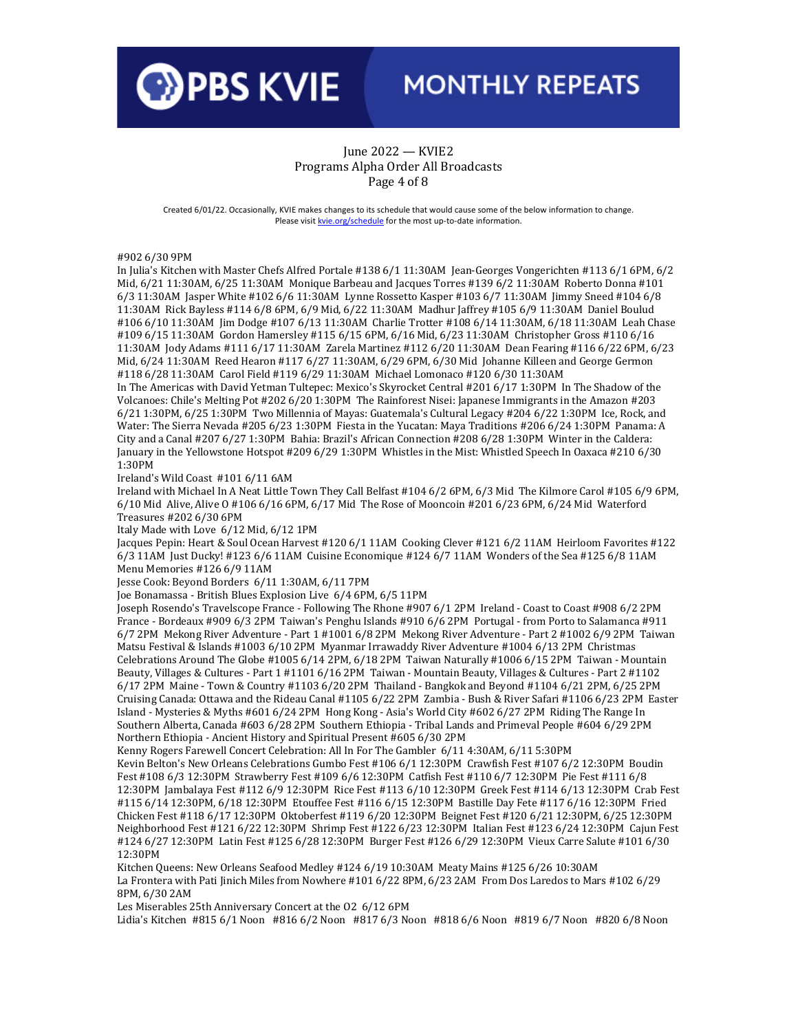

#### June 2022 — KVIE2 Programs Alpha Order All Broadcasts Page 4 of 8

Created 6/01/22. Occasionally, KVIE makes changes to its schedule that would cause some of the below information to change. Please visi[t kvie.org/schedule](http://www.kvie.org/schedule) for the most up-to-date information.

#902 6/30 9PM

In Julia's Kitchen with Master Chefs Alfred Portale #138 6/1 11:30AM Jean-Georges Vongerichten #113 6/1 6PM, 6/2 Mid, 6/21 11:30AM, 6/25 11:30AM Monique Barbeau and Jacques Torres #139 6/2 11:30AM Roberto Donna #101 6/3 11:30AM Jasper White #102 6/6 11:30AM Lynne Rossetto Kasper #103 6/7 11:30AM Jimmy Sneed #104 6/8 11:30AM Rick Bayless #114 6/8 6PM, 6/9 Mid, 6/22 11:30AM Madhur Jaffrey #105 6/9 11:30AM Daniel Boulud #106 6/10 11:30AM Jim Dodge #107 6/13 11:30AM Charlie Trotter #108 6/14 11:30AM, 6/18 11:30AM Leah Chase #109 6/15 11:30AM Gordon Hamersley #115 6/15 6PM, 6/16 Mid, 6/23 11:30AM Christopher Gross #110 6/16 11:30AM Jody Adams #111 6/17 11:30AM Zarela Martinez #112 6/20 11:30AM Dean Fearing #116 6/22 6PM, 6/23 Mid, 6/24 11:30AM Reed Hearon #117 6/27 11:30AM, 6/29 6PM, 6/30 Mid Johanne Killeen and George Germon #118 6/28 11:30AM Carol Field #119 6/29 11:30AM Michael Lomonaco #120 6/30 11:30AM

In The Americas with David Yetman Tultepec: Mexico's Skyrocket Central #201 6/17 1:30PM In The Shadow of the Volcanoes: Chile's Melting Pot #202 6/20 1:30PM The Rainforest Nisei: Japanese Immigrants in the Amazon #203 6/21 1:30PM, 6/25 1:30PM Two Millennia of Mayas: Guatemala's Cultural Legacy #204 6/22 1:30PM Ice, Rock, and Water: The Sierra Nevada #205 6/23 1:30PM Fiesta in the Yucatan: Maya Traditions #206 6/24 1:30PM Panama: A City and a Canal #207 6/27 1:30PM Bahia: Brazil's African Connection #208 6/28 1:30PM Winter in the Caldera: January in the Yellowstone Hotspot #209 6/29 1:30PM Whistles in the Mist: Whistled Speech In Oaxaca #210 6/30 1:30PM

Ireland's Wild Coast #101 6/11 6AM

Ireland with Michael In A Neat Little Town They Call Belfast #104 6/2 6PM, 6/3 Mid The Kilmore Carol #105 6/9 6PM, 6/10 Mid Alive, Alive O #106 6/16 6PM, 6/17 Mid The Rose of Mooncoin #201 6/23 6PM, 6/24 Mid Waterford Treasures #202 6/30 6PM

Italy Made with Love 6/12 Mid, 6/12 1PM

Jacques Pepin: Heart & Soul Ocean Harvest #120 6/1 11AM Cooking Clever #121 6/2 11AM Heirloom Favorites #122 6/3 11AM Just Ducky! #123 6/6 11AM Cuisine Economique #124 6/7 11AM Wonders of the Sea #125 6/8 11AM Menu Memories #126 6/9 11AM

Jesse Cook: Beyond Borders 6/11 1:30AM, 6/11 7PM

Joe Bonamassa - British Blues Explosion Live 6/4 6PM, 6/5 11PM

Joseph Rosendo's Travelscope France - Following The Rhone #907 6/1 2PM Ireland - Coast to Coast #908 6/2 2PM France - Bordeaux #909 6/3 2PM Taiwan's Penghu Islands #910 6/6 2PM Portugal - from Porto to Salamanca #911 6/7 2PM Mekong River Adventure - Part 1 #1001 6/8 2PM Mekong River Adventure - Part 2 #1002 6/9 2PM Taiwan Matsu Festival & Islands #1003 6/10 2PM Myanmar Irrawaddy River Adventure #1004 6/13 2PM Christmas Celebrations Around The Globe #1005 6/14 2PM, 6/18 2PM Taiwan Naturally #1006 6/15 2PM Taiwan - Mountain Beauty, Villages & Cultures - Part 1 #1101 6/16 2PM Taiwan - Mountain Beauty, Villages & Cultures - Part 2 #1102 6/17 2PM Maine - Town & Country #1103 6/20 2PM Thailand - Bangkok and Beyond #1104 6/21 2PM, 6/25 2PM Cruising Canada: Ottawa and the Rideau Canal #1105 6/22 2PM Zambia - Bush & River Safari #1106 6/23 2PM Easter Island - Mysteries & Myths #601 6/24 2PM Hong Kong - Asia's World City #602 6/27 2PM Riding The Range In Southern Alberta, Canada #603 6/28 2PM Southern Ethiopia - Tribal Lands and Primeval People #604 6/29 2PM Northern Ethiopia - Ancient History and Spiritual Present #605 6/30 2PM

Kenny Rogers Farewell Concert Celebration: All In For The Gambler 6/11 4:30AM, 6/11 5:30PM Kevin Belton's New Orleans Celebrations Gumbo Fest #106 6/1 12:30PM Crawfish Fest #107 6/2 12:30PM Boudin Fest #108 6/3 12:30PM Strawberry Fest #109 6/6 12:30PM Catfish Fest #110 6/7 12:30PM Pie Fest #111 6/8 12:30PM Jambalaya Fest #112 6/9 12:30PM Rice Fest #113 6/10 12:30PM Greek Fest #114 6/13 12:30PM Crab Fest #115 6/14 12:30PM, 6/18 12:30PM Etouffee Fest #116 6/15 12:30PM Bastille Day Fete #117 6/16 12:30PM Fried Chicken Fest #118 6/17 12:30PM Oktoberfest #119 6/20 12:30PM Beignet Fest #120 6/21 12:30PM, 6/25 12:30PM Neighborhood Fest #121 6/22 12:30PM Shrimp Fest #122 6/23 12:30PM Italian Fest #123 6/24 12:30PM Cajun Fest #124 6/27 12:30PM Latin Fest #125 6/28 12:30PM Burger Fest #126 6/29 12:30PM Vieux Carre Salute #101 6/30 12:30PM

Kitchen Queens: New Orleans Seafood Medley #124 6/19 10:30AM Meaty Mains #125 6/26 10:30AM La Frontera with Pati Jinich Miles from Nowhere #101 6/22 8PM, 6/23 2AM From Dos Laredos to Mars #102 6/29 8PM, 6/30 2AM

Les Miserables 25th Anniversary Concert at the O2 6/12 6PM

Lidia's Kitchen #815 6/1 Noon #816 6/2 Noon #817 6/3 Noon #818 6/6 Noon #819 6/7 Noon #820 6/8 Noon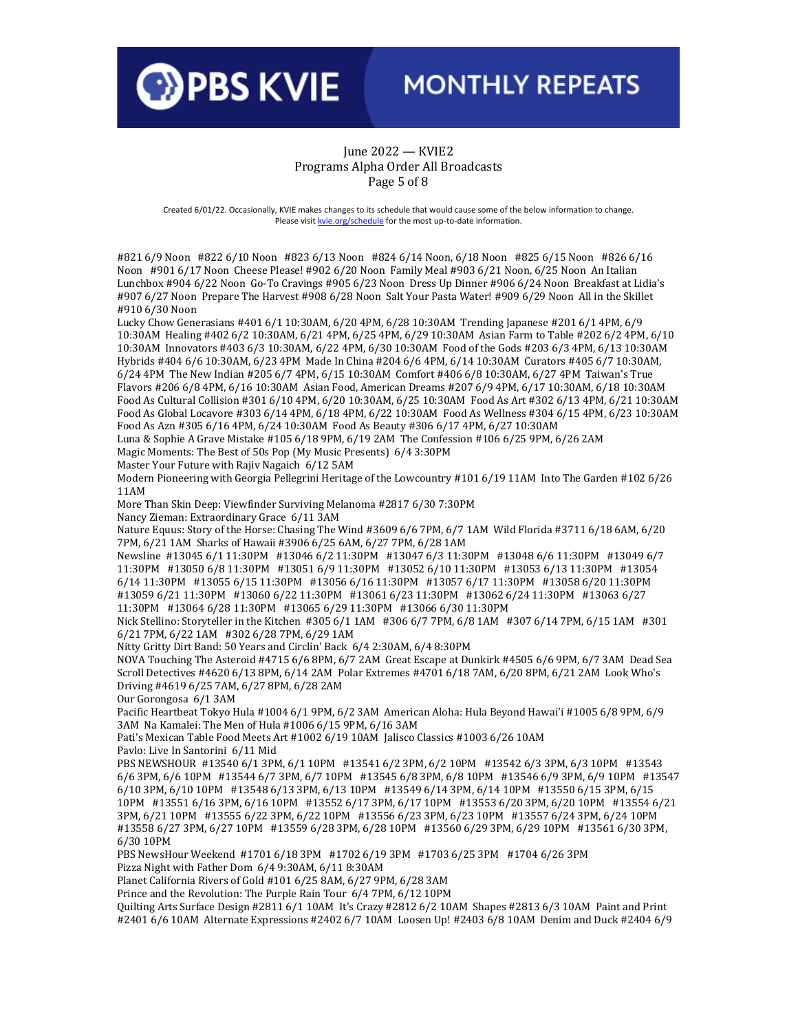

#### June 2022 — KVIE2 Programs Alpha Order All Broadcasts Page 5 of 8

Created 6/01/22. Occasionally, KVIE makes changes to its schedule that would cause some of the below information to change. Please visi[t kvie.org/schedule](http://www.kvie.org/schedule) for the most up-to-date information.

#821 6/9 Noon #822 6/10 Noon #823 6/13 Noon #824 6/14 Noon, 6/18 Noon #825 6/15 Noon #826 6/16 Noon #901 6/17 Noon Cheese Please! #902 6/20 Noon Family Meal #903 6/21 Noon, 6/25 Noon An Italian Lunchbox #904 6/22 Noon Go-To Cravings #905 6/23 Noon Dress Up Dinner #906 6/24 Noon Breakfast at Lidia's #907 6/27 Noon Prepare The Harvest #908 6/28 Noon Salt Your Pasta Water! #909 6/29 Noon All in the Skillet #910 6/30 Noon

Lucky Chow Generasians #401 6/1 10:30AM, 6/20 4PM, 6/28 10:30AM Trending Japanese #201 6/1 4PM, 6/9 10:30AM Healing #402 6/2 10:30AM, 6/21 4PM, 6/25 4PM, 6/29 10:30AM Asian Farm to Table #202 6/2 4PM, 6/10 10:30AM Innovators #403 6/3 10:30AM, 6/22 4PM, 6/30 10:30AM Food of the Gods #203 6/3 4PM, 6/13 10:30AM Hybrids #404 6/6 10:30AM, 6/23 4PM Made In China #204 6/6 4PM, 6/14 10:30AM Curators #405 6/7 10:30AM, 6/24 4PM The New Indian #205 6/7 4PM, 6/15 10:30AM Comfort #406 6/8 10:30AM, 6/27 4PM Taiwan's True Flavors #206 6/8 4PM, 6/16 10:30AM Asian Food, American Dreams #207 6/9 4PM, 6/17 10:30AM, 6/18 10:30AM Food As Cultural Collision #301 6/10 4PM, 6/20 10:30AM, 6/25 10:30AM Food As Art #302 6/13 4PM, 6/21 10:30AM Food As Global Locavore #303 6/14 4PM, 6/18 4PM, 6/22 10:30AM Food As Wellness #304 6/15 4PM, 6/23 10:30AM Food As Azn #305 6/16 4PM, 6/24 10:30AM Food As Beauty #306 6/17 4PM, 6/27 10:30AM

Luna & Sophie A Grave Mistake #105 6/18 9PM, 6/19 2AM The Confession #106 6/25 9PM, 6/26 2AM Magic Moments: The Best of 50s Pop (My Music Presents) 6/4 3:30PM

Master Your Future with Rajiv Nagaich 6/12 5AM

Modern Pioneering with Georgia Pellegrini Heritage of the Lowcountry #101 6/19 11AM Into The Garden #102 6/26 11AM

More Than Skin Deep: Viewfinder Surviving Melanoma #2817 6/30 7:30PM

Nancy Zieman: Extraordinary Grace 6/11 3AM

Nature Equus: Story of the Horse: Chasing The Wind #3609 6/6 7PM, 6/7 1AM Wild Florida #3711 6/18 6AM, 6/20 7PM, 6/21 1AM Sharks of Hawaii #3906 6/25 6AM, 6/27 7PM, 6/28 1AM

Newsline #13045 6/1 11:30PM #13046 6/2 11:30PM #13047 6/3 11:30PM #13048 6/6 11:30PM #13049 6/7 11:30PM #13050 6/8 11:30PM #13051 6/9 11:30PM #13052 6/10 11:30PM #13053 6/13 11:30PM #13054 6/14 11:30PM #13055 6/15 11:30PM #13056 6/16 11:30PM #13057 6/17 11:30PM #13058 6/20 11:30PM #13059 6/21 11:30PM #13060 6/22 11:30PM #13061 6/23 11:30PM #13062 6/24 11:30PM #13063 6/27 11:30PM #13064 6/28 11:30PM #13065 6/29 11:30PM #13066 6/30 11:30PM

Nick Stellino: Storyteller in the Kitchen #305 6/1 1AM #306 6/7 7PM, 6/8 1AM #307 6/14 7PM, 6/15 1AM #301 6/21 7PM, 6/22 1AM #302 6/28 7PM, 6/29 1AM

Nitty Gritty Dirt Band: 50 Years and Circlin' Back 6/4 2:30AM, 6/4 8:30PM

NOVA Touching The Asteroid #4715 6/6 8PM, 6/7 2AM Great Escape at Dunkirk #4505 6/6 9PM, 6/7 3AM Dead Sea Scroll Detectives #4620 6/13 8PM, 6/14 2AM Polar Extremes #4701 6/18 7AM, 6/20 8PM, 6/21 2AM Look Who's Driving #4619 6/25 7AM, 6/27 8PM, 6/28 2AM

Our Gorongosa 6/1 3AM

Pacific Heartbeat Tokyo Hula #1004 6/1 9PM, 6/2 3AM American Aloha: Hula Beyond Hawai'i #1005 6/8 9PM, 6/9 3AM Na Kamalei: The Men of Hula #1006 6/15 9PM, 6/16 3AM

Pati's Mexican Table Food Meets Art #1002 6/19 10AM Jalisco Classics #1003 6/26 10AM Pavlo: Live In Santorini 6/11 Mid

PBS NEWSHOUR #13540 6/1 3PM, 6/1 10PM #13541 6/2 3PM, 6/2 10PM #13542 6/3 3PM, 6/3 10PM #13543 6/6 3PM, 6/6 10PM #13544 6/7 3PM, 6/7 10PM #13545 6/8 3PM, 6/8 10PM #13546 6/9 3PM, 6/9 10PM #13547 6/10 3PM, 6/10 10PM #13548 6/13 3PM, 6/13 10PM #13549 6/14 3PM, 6/14 10PM #13550 6/15 3PM, 6/15 10PM #13551 6/16 3PM, 6/16 10PM #13552 6/17 3PM, 6/17 10PM #13553 6/20 3PM, 6/20 10PM #13554 6/21 3PM, 6/21 10PM #13555 6/22 3PM, 6/22 10PM #13556 6/23 3PM, 6/23 10PM #13557 6/24 3PM, 6/24 10PM #13558 6/27 3PM, 6/27 10PM #13559 6/28 3PM, 6/28 10PM #13560 6/29 3PM, 6/29 10PM #13561 6/30 3PM, 6/30 10PM

PBS NewsHour Weekend #1701 6/18 3PM #1702 6/19 3PM #1703 6/25 3PM #1704 6/26 3PM Pizza Night with Father Dom 6/4 9:30AM, 6/11 8:30AM

Planet California Rivers of Gold #101 6/25 8AM, 6/27 9PM, 6/28 3AM

Prince and the Revolution: The Purple Rain Tour 6/4 7PM, 6/12 10PM

Quilting Arts Surface Design #2811 6/1 10AM It's Crazy #2812 6/2 10AM Shapes #2813 6/3 10AM Paint and Print #2401 6/6 10AM Alternate Expressions #2402 6/7 10AM Loosen Up! #2403 6/8 10AM Denim and Duck #2404 6/9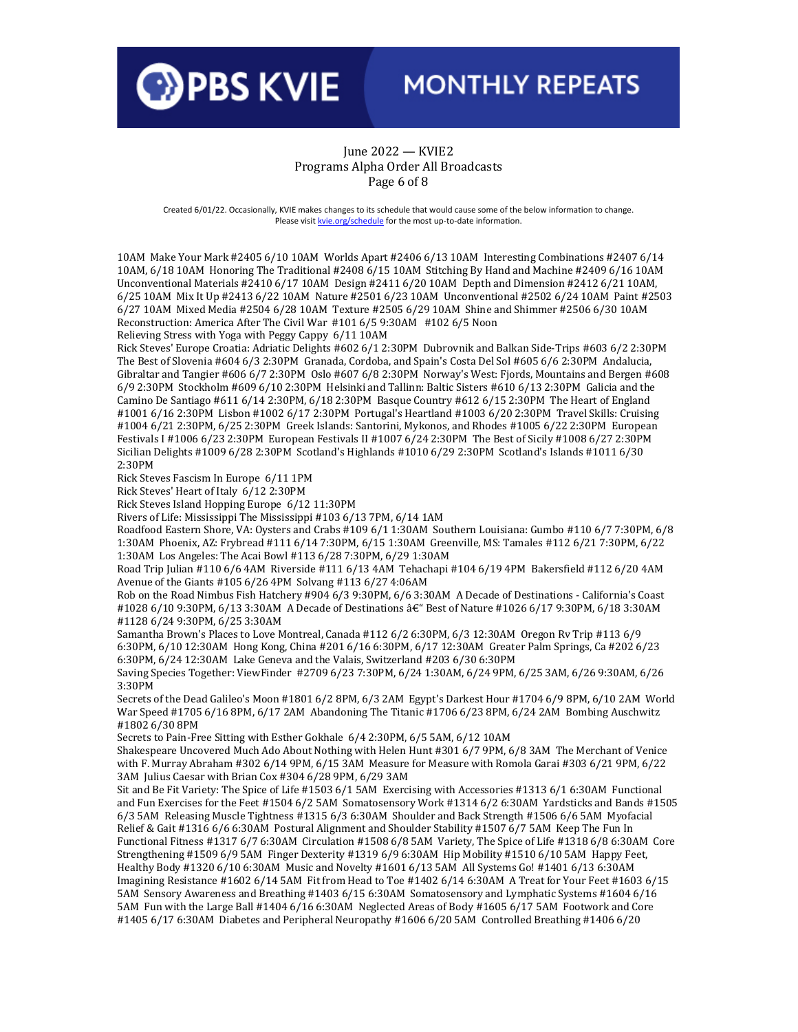

### June 2022 — KVIE2 Programs Alpha Order All Broadcasts Page 6 of 8

Created 6/01/22. Occasionally, KVIE makes changes to its schedule that would cause some of the below information to change. Please visi[t kvie.org/schedule](http://www.kvie.org/schedule) for the most up-to-date information.

10AM Make Your Mark #2405 6/10 10AM Worlds Apart #2406 6/13 10AM Interesting Combinations #2407 6/14 10AM, 6/18 10AM Honoring The Traditional #2408 6/15 10AM Stitching By Hand and Machine #2409 6/16 10AM Unconventional Materials #2410 6/17 10AM Design #2411 6/20 10AM Depth and Dimension #2412 6/21 10AM, 6/25 10AM Mix It Up #2413 6/22 10AM Nature #2501 6/23 10AM Unconventional #2502 6/24 10AM Paint #2503 6/27 10AM Mixed Media #2504 6/28 10AM Texture #2505 6/29 10AM Shine and Shimmer #2506 6/30 10AM Reconstruction: America After The Civil War #101 6/5 9:30AM #102 6/5 Noon

Relieving Stress with Yoga with Peggy Cappy 6/11 10AM

Rick Steves' Europe Croatia: Adriatic Delights #602 6/1 2:30PM Dubrovnik and Balkan Side-Trips #603 6/2 2:30PM The Best of Slovenia #604 6/3 2:30PM Granada, Cordoba, and Spain's Costa Del Sol #605 6/6 2:30PM Andalucia, Gibraltar and Tangier #606 6/7 2:30PM Oslo #607 6/8 2:30PM Norway's West: Fjords, Mountains and Bergen #608 6/9 2:30PM Stockholm #609 6/10 2:30PM Helsinki and Tallinn: Baltic Sisters #610 6/13 2:30PM Galicia and the Camino De Santiago #611 6/14 2:30PM, 6/18 2:30PM Basque Country #612 6/15 2:30PM The Heart of England #1001 6/16 2:30PM Lisbon #1002 6/17 2:30PM Portugal's Heartland #1003 6/20 2:30PM Travel Skills: Cruising #1004 6/21 2:30PM, 6/25 2:30PM Greek Islands: Santorini, Mykonos, and Rhodes #1005 6/22 2:30PM European Festivals I #1006 6/23 2:30PM European Festivals II #1007 6/24 2:30PM The Best of Sicily #1008 6/27 2:30PM Sicilian Delights #1009 6/28 2:30PM Scotland's Highlands #1010 6/29 2:30PM Scotland's Islands #1011 6/30 2:30PM

Rick Steves Fascism In Europe 6/11 1PM

Rick Steves' Heart of Italy 6/12 2:30PM

Rick Steves Island Hopping Europe 6/12 11:30PM

Rivers of Life: Mississippi The Mississippi #103 6/13 7PM, 6/14 1AM

Roadfood Eastern Shore, VA: Oysters and Crabs #109 6/1 1:30AM Southern Louisiana: Gumbo #110 6/7 7:30PM, 6/8 1:30AM Phoenix, AZ: Frybread #111 6/14 7:30PM, 6/15 1:30AM Greenville, MS: Tamales #112 6/21 7:30PM, 6/22 1:30AM Los Angeles: The Acai Bowl #113 6/28 7:30PM, 6/29 1:30AM

Road Trip Julian #110 6/6 4AM Riverside #111 6/13 4AM Tehachapi #104 6/19 4PM Bakersfield #112 6/20 4AM Avenue of the Giants #105 6/26 4PM Solvang #113 6/27 4:06AM

Rob on the Road Nimbus Fish Hatchery #904 6/3 9:30PM, 6/6 3:30AM A Decade of Destinations - California's Coast #1028 6/10 9:30PM, 6/13 3:30AM A Decade of Destinations â€" Best of Nature #1026 6/17 9:30PM, 6/18 3:30AM #1128 6/24 9:30PM, 6/25 3:30AM

Samantha Brown's Places to Love Montreal, Canada #112 6/2 6:30PM, 6/3 12:30AM Oregon Rv Trip #113 6/9 6:30PM, 6/10 12:30AM Hong Kong, China #201 6/16 6:30PM, 6/17 12:30AM Greater Palm Springs, Ca #202 6/23 6:30PM, 6/24 12:30AM Lake Geneva and the Valais, Switzerland #203 6/30 6:30PM

Saving Species Together: ViewFinder #2709 6/23 7:30PM, 6/24 1:30AM, 6/24 9PM, 6/25 3AM, 6/26 9:30AM, 6/26 3:30PM

Secrets of the Dead Galileo's Moon #1801 6/2 8PM, 6/3 2AM Egypt's Darkest Hour #1704 6/9 8PM, 6/10 2AM World War Speed #1705 6/16 8PM, 6/17 2AM Abandoning The Titanic #1706 6/23 8PM, 6/24 2AM Bombing Auschwitz #1802 6/30 8PM

Secrets to Pain-Free Sitting with Esther Gokhale 6/4 2:30PM, 6/5 5AM, 6/12 10AM

Shakespeare Uncovered Much Ado About Nothing with Helen Hunt #301 6/7 9PM, 6/8 3AM The Merchant of Venice with F. Murray Abraham #302 6/14 9PM, 6/15 3AM Measure for Measure with Romola Garai #303 6/21 9PM, 6/22 3AM Julius Caesar with Brian Cox #304 6/28 9PM, 6/29 3AM

Sit and Be Fit Variety: The Spice of Life #1503 6/1 5AM Exercising with Accessories #1313 6/1 6:30AM Functional and Fun Exercises for the Feet #1504 6/2 5AM Somatosensory Work #1314 6/2 6:30AM Yardsticks and Bands #1505 6/3 5AM Releasing Muscle Tightness #1315 6/3 6:30AM Shoulder and Back Strength #1506 6/6 5AM Myofacial Relief & Gait #1316 6/6 6:30AM Postural Alignment and Shoulder Stability #1507 6/7 5AM Keep The Fun In Functional Fitness #1317 6/7 6:30AM Circulation #1508 6/8 5AM Variety, The Spice of Life #1318 6/8 6:30AM Core Strengthening #1509 6/9 5AM Finger Dexterity #1319 6/9 6:30AM Hip Mobility #1510 6/10 5AM Happy Feet, Healthy Body #1320 6/10 6:30AM Music and Novelty #1601 6/13 5AM All Systems Go! #1401 6/13 6:30AM Imagining Resistance #1602 6/14 5AM Fit from Head to Toe #1402 6/14 6:30AM A Treat for Your Feet #1603 6/15 5AM Sensory Awareness and Breathing #1403 6/15 6:30AM Somatosensory and Lymphatic Systems #1604 6/16 5AM Fun with the Large Ball #1404 6/16 6:30AM Neglected Areas of Body #1605 6/17 5AM Footwork and Core #1405 6/17 6:30AM Diabetes and Peripheral Neuropathy #1606 6/20 5AM Controlled Breathing #1406 6/20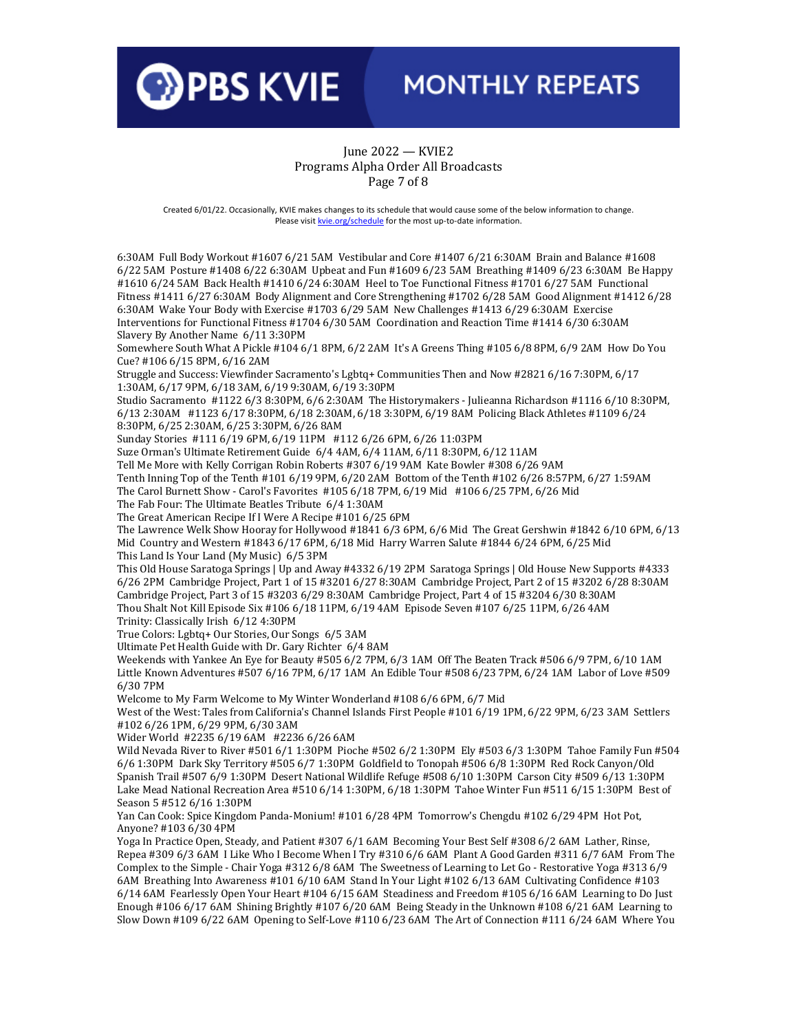

### June 2022 — KVIE2 Programs Alpha Order All Broadcasts Page 7 of 8

Created 6/01/22. Occasionally, KVIE makes changes to its schedule that would cause some of the below information to change. Please visi[t kvie.org/schedule](http://www.kvie.org/schedule) for the most up-to-date information.

6:30AM Full Body Workout #1607 6/21 5AM Vestibular and Core #1407 6/21 6:30AM Brain and Balance #1608 6/22 5AM Posture #1408 6/22 6:30AM Upbeat and Fun #1609 6/23 5AM Breathing #1409 6/23 6:30AM Be Happy #1610 6/24 5AM Back Health #1410 6/24 6:30AM Heel to Toe Functional Fitness #1701 6/27 5AM Functional Fitness #1411 6/27 6:30AM Body Alignment and Core Strengthening #1702 6/28 5AM Good Alignment #1412 6/28 6:30AM Wake Your Body with Exercise #1703 6/29 5AM New Challenges #1413 6/29 6:30AM Exercise Interventions for Functional Fitness #1704 6/30 5AM Coordination and Reaction Time #1414 6/30 6:30AM Slavery By Another Name 6/11 3:30PM

Somewhere South What A Pickle #104 6/1 8PM, 6/2 2AM It's A Greens Thing #105 6/8 8PM, 6/9 2AM How Do You Cue? #106 6/15 8PM, 6/16 2AM

Struggle and Success: Viewfinder Sacramento's Lgbtq+ Communities Then and Now #2821 6/16 7:30PM, 6/17 1:30AM, 6/17 9PM, 6/18 3AM, 6/19 9:30AM, 6/19 3:30PM

Studio Sacramento #1122 6/3 8:30PM, 6/6 2:30AM The Historymakers - Julieanna Richardson #1116 6/10 8:30PM, 6/13 2:30AM #1123 6/17 8:30PM, 6/18 2:30AM, 6/18 3:30PM, 6/19 8AM Policing Black Athletes #1109 6/24 8:30PM, 6/25 2:30AM, 6/25 3:30PM, 6/26 8AM

Sunday Stories #111 6/19 6PM, 6/19 11PM #112 6/26 6PM, 6/26 11:03PM

Suze Orman's Ultimate Retirement Guide 6/4 4AM, 6/4 11AM, 6/11 8:30PM, 6/12 11AM

Tell Me More with Kelly Corrigan Robin Roberts #307 6/19 9AM Kate Bowler #308 6/26 9AM

Tenth Inning Top of the Tenth #101 6/19 9PM, 6/20 2AM Bottom of the Tenth #102 6/26 8:57PM, 6/27 1:59AM

The Carol Burnett Show - Carol's Favorites #105 6/18 7PM, 6/19 Mid #106 6/25 7PM, 6/26 Mid

The Fab Four: The Ultimate Beatles Tribute 6/4 1:30AM

The Great American Recipe If I Were A Recipe #101 6/25 6PM

The Lawrence Welk Show Hooray for Hollywood #1841 6/3 6PM, 6/6 Mid The Great Gershwin #1842 6/10 6PM, 6/13 Mid Country and Western #1843 6/17 6PM, 6/18 Mid Harry Warren Salute #1844 6/24 6PM, 6/25 Mid This Land Is Your Land (My Music) 6/5 3PM

This Old House Saratoga Springs | Up and Away #4332 6/19 2PM Saratoga Springs | Old House New Supports #4333 6/26 2PM Cambridge Project, Part 1 of 15 #3201 6/27 8:30AM Cambridge Project, Part 2 of 15 #3202 6/28 8:30AM Cambridge Project, Part 3 of 15 #3203 6/29 8:30AM Cambridge Project, Part 4 of 15 #3204 6/30 8:30AM Thou Shalt Not Kill Episode Six #106 6/18 11PM, 6/19 4AM Episode Seven #107 6/25 11PM, 6/26 4AM

Trinity: Classically Irish 6/12 4:30PM

True Colors: Lgbtq+ Our Stories, Our Songs 6/5 3AM

Ultimate Pet Health Guide with Dr. Gary Richter 6/4 8AM

Weekends with Yankee An Eye for Beauty #505 6/2 7PM, 6/3 1AM Off The Beaten Track #506 6/9 7PM, 6/10 1AM Little Known Adventures #507 6/16 7PM, 6/17 1AM An Edible Tour #508 6/23 7PM, 6/24 1AM Labor of Love #509 6/30 7PM

Welcome to My Farm Welcome to My Winter Wonderland #108 6/6 6PM, 6/7 Mid

West of the West: Tales from California's Channel Islands First People #101 6/19 1PM, 6/22 9PM, 6/23 3AM Settlers #102 6/26 1PM, 6/29 9PM, 6/30 3AM

Wider World #2235 6/19 6AM #2236 6/26 6AM

Wild Nevada River to River #501 6/1 1:30PM Pioche #502 6/2 1:30PM Ely #503 6/3 1:30PM Tahoe Family Fun #504 6/6 1:30PM Dark Sky Territory #505 6/7 1:30PM Goldfield to Tonopah #506 6/8 1:30PM Red Rock Canyon/Old Spanish Trail #507 6/9 1:30PM Desert National Wildlife Refuge #508 6/10 1:30PM Carson City #509 6/13 1:30PM Lake Mead National Recreation Area #510 6/14 1:30PM, 6/18 1:30PM Tahoe Winter Fun #511 6/15 1:30PM Best of Season 5 #512 6/16 1:30PM

Yan Can Cook: Spice Kingdom Panda-Monium! #101 6/28 4PM Tomorrow's Chengdu #102 6/29 4PM Hot Pot, Anyone? #103 6/30 4PM

Yoga In Practice Open, Steady, and Patient #307 6/1 6AM Becoming Your Best Self #308 6/2 6AM Lather, Rinse, Repea #309 6/3 6AM I Like Who I Become When I Try #310 6/6 6AM Plant A Good Garden #311 6/7 6AM From The Complex to the Simple - Chair Yoga #312 6/8 6AM The Sweetness of Learning to Let Go - Restorative Yoga #313 6/9 6AM Breathing Into Awareness #101 6/10 6AM Stand In Your Light #102 6/13 6AM Cultivating Confidence #103 6/14 6AM Fearlessly Open Your Heart #104 6/15 6AM Steadiness and Freedom #105 6/16 6AM Learning to Do Just Enough #106 6/17 6AM Shining Brightly #107 6/20 6AM Being Steady in the Unknown #108 6/21 6AM Learning to Slow Down #109 6/22 6AM Opening to Self-Love #110 6/23 6AM The Art of Connection #111 6/24 6AM Where You